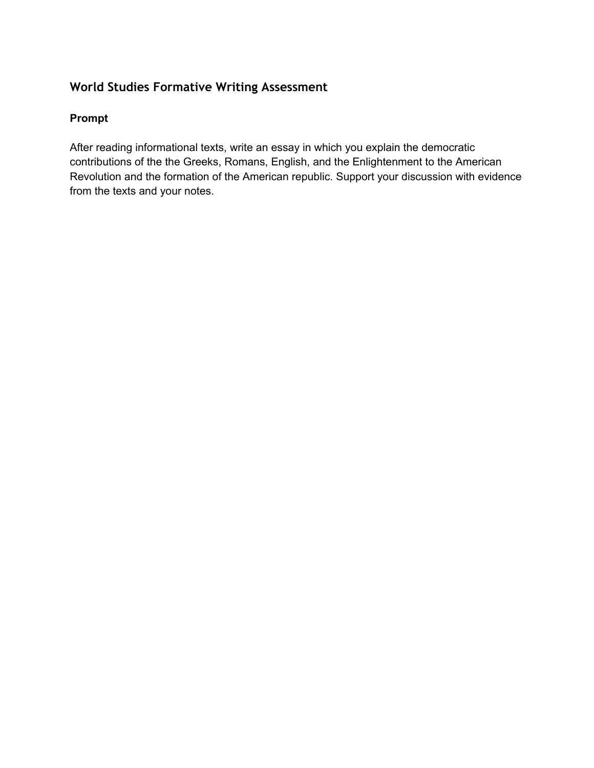# **World Studies Formative Writing Assessment**

### **Prompt**

After reading informational texts, write an essay in which you explain the democratic contributions of the the Greeks, Romans, English, and the Enlightenment to the American Revolution and the formation of the American republic. Support your discussion with evidence from the texts and your notes.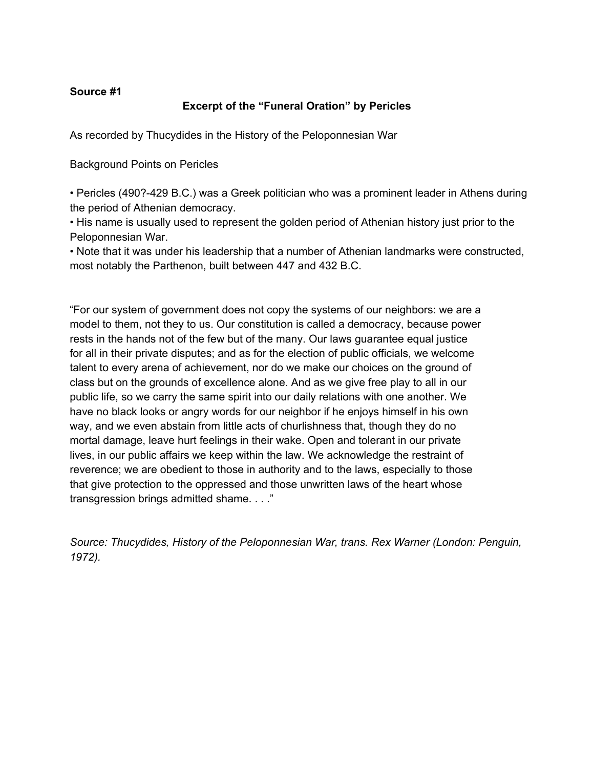#### **Source #1**

### **Excerpt of the "Funeral Oration" by Pericles**

As recorded by Thucydides in the History of the Peloponnesian War

Background Points on Pericles

• Pericles (490?429 B.C.) was a Greek politician who was a prominent leader in Athens during the period of Athenian democracy.

• His name is usually used to represent the golden period of Athenian history just prior to the Peloponnesian War.

• Note that it was under his leadership that a number of Athenian landmarks were constructed, most notably the Parthenon, built between 447 and 432 B.C.

"For our system of government does not copy the systems of our neighbors: we are a model to them, not they to us. Our constitution is called a democracy, because power rests in the hands not of the few but of the many. Our laws guarantee equal justice for all in their private disputes; and as for the election of public officials, we welcome talent to every arena of achievement, nor do we make our choices on the ground of class but on the grounds of excellence alone. And as we give free play to all in our public life, so we carry the same spirit into our daily relations with one another. We have no black looks or angry words for our neighbor if he enjoys himself in his own way, and we even abstain from little acts of churlishness that, though they do no mortal damage, leave hurt feelings in their wake. Open and tolerant in our private lives, in our public affairs we keep within the law. We acknowledge the restraint of reverence; we are obedient to those in authority and to the laws, especially to those that give protection to the oppressed and those unwritten laws of the heart whose transgression brings admitted shame. . . ."

*Source: Thucydides, History of the Peloponnesian War, trans. Rex Warner (London: Penguin, 1972).*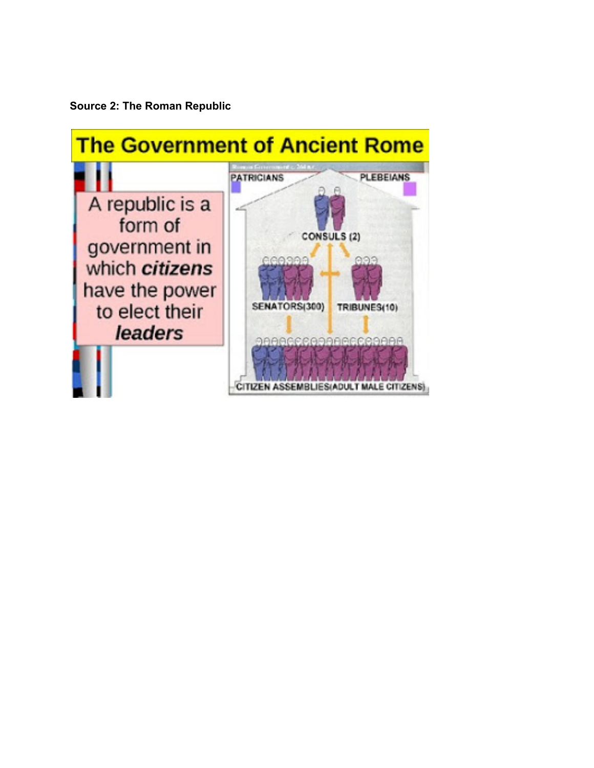**Source 2: The Roman Republic**

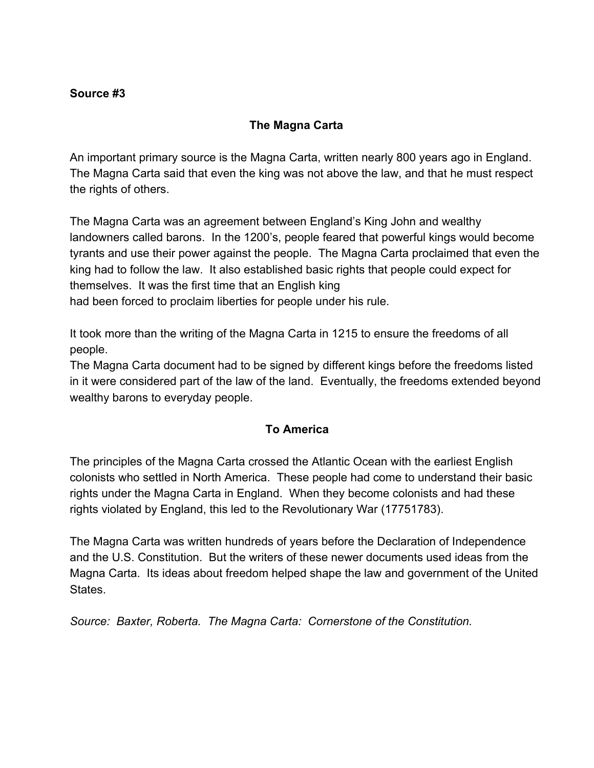### **Source #3**

## **The Magna Carta**

An important primary source is the Magna Carta, written nearly 800 years ago in England. The Magna Carta said that even the king was not above the law, and that he must respect the rights of others.

The Magna Carta was an agreement between England's King John and wealthy landowners called barons. In the 1200's, people feared that powerful kings would become tyrants and use their power against the people. The Magna Carta proclaimed that even the king had to follow the law. It also established basic rights that people could expect for themselves. It was the first time that an English king

had been forced to proclaim liberties for people under his rule.

It took more than the writing of the Magna Carta in 1215 to ensure the freedoms of all people.

The Magna Carta document had to be signed by different kings before the freedoms listed in it were considered part of the law of the land. Eventually, the freedoms extended beyond wealthy barons to everyday people.

### **To America**

The principles of the Magna Carta crossed the Atlantic Ocean with the earliest English colonists who settled in North America. These people had come to understand their basic rights under the Magna Carta in England. When they become colonists and had these rights violated by England, this led to the Revolutionary War (17751783).

The Magna Carta was written hundreds of years before the Declaration of Independence and the U.S. Constitution. But the writers of these newer documents used ideas from the Magna Carta. Its ideas about freedom helped shape the law and government of the United **States** 

*Source: Baxter, Roberta. The Magna Carta: Cornerstone of the Constitution.*